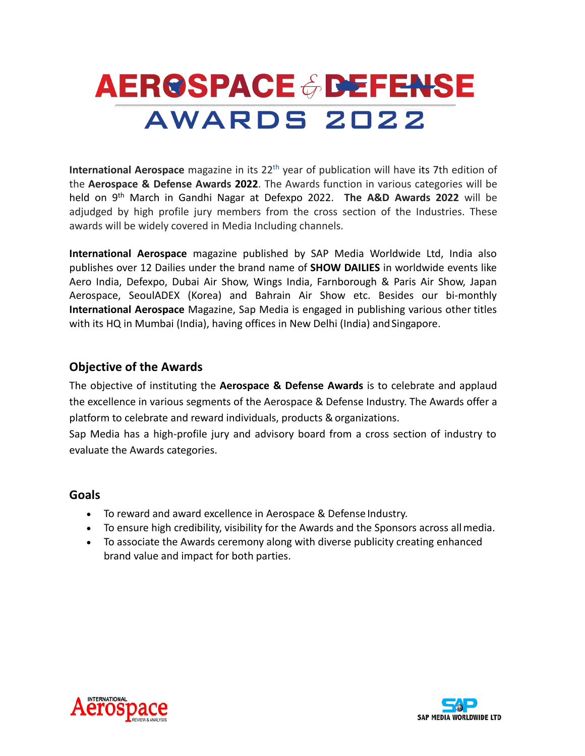# **AEROSPACE & DEFENSE** AWARDS 2022

**International Aerospace** magazine in its 22<sup>th</sup> year of publication will have its 7th edition of the **Aerospace & Defense Awards 2022**. The Awards function in various categories will be held on 9th March in Gandhi Nagar at Defexpo 2022. **The A&D Awards 2022** will be adjudged by high profile jury members from the cross section of the Industries. These awards will be widely covered in Media Including channels.

**International Aerospace** magazine published by SAP Media Worldwide Ltd, India also publishes over 12 Dailies under the brand name of **SHOW DAILIES** in worldwide events like Aero India, Defexpo, Dubai Air Show, Wings India, Farnborough & Paris Air Show, Japan Aerospace, SeoulADEX (Korea) and Bahrain Air Show etc. Besides our bi-monthly **International Aerospace** Magazine, Sap Media is engaged in publishing various other titles with its HQ in Mumbai (India), having offices in New Delhi (India) andSingapore.

## **Objective of the Awards**

The objective of instituting the **Aerospace & Defense Awards** is to celebrate and applaud the excellence in various segments of the Aerospace & Defense Industry. The Awards offer a platform to celebrate and reward individuals, products & organizations.

Sap Media has a high-profile jury and advisory board from a cross section of industry to evaluate the Awards categories.

## **Goals**

- To reward and award excellence in Aerospace & Defense Industry.
- To ensure high credibility, visibility for the Awards and the Sponsors across allmedia.
- To associate the Awards ceremony along with diverse publicity creating enhanced brand value and impact for both parties.



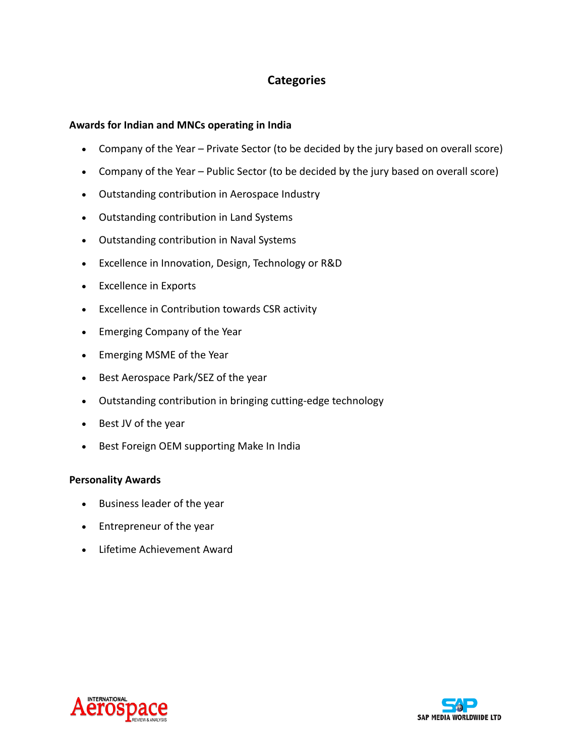## **Categories**

### **Awards for Indian and MNCs operating in India**

- Company of the Year Private Sector (to be decided by the jury based on overall score)
- Company of the Year Public Sector (to be decided by the jury based on overall score)
- Outstanding contribution in Aerospace Industry
- Outstanding contribution in Land Systems
- Outstanding contribution in Naval Systems
- Excellence in Innovation, Design, Technology or R&D
- Excellence in Exports
- Excellence in Contribution towards CSR activity
- Emerging Company of the Year
- Emerging MSME of the Year
- Best Aerospace Park/SEZ of the year
- Outstanding contribution in bringing cutting-edge technology
- Best JV of the year
- Best Foreign OEM supporting Make In India

#### **Personality Awards**

- Business leader of the year
- Entrepreneur of the year
- Lifetime Achievement Award



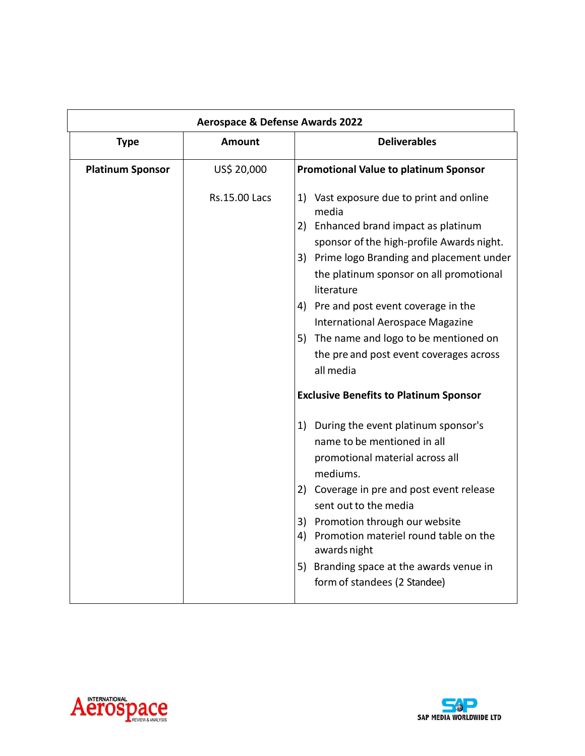| <b>Aerospace &amp; Defense Awards 2022</b> |                      |                                                                                                                                                                                                                                                                                                                                                                                                                                                                                                                                                                                                                                                                                                                                                                                                                                                          |
|--------------------------------------------|----------------------|----------------------------------------------------------------------------------------------------------------------------------------------------------------------------------------------------------------------------------------------------------------------------------------------------------------------------------------------------------------------------------------------------------------------------------------------------------------------------------------------------------------------------------------------------------------------------------------------------------------------------------------------------------------------------------------------------------------------------------------------------------------------------------------------------------------------------------------------------------|
| <b>Type</b>                                | <b>Amount</b>        | <b>Deliverables</b>                                                                                                                                                                                                                                                                                                                                                                                                                                                                                                                                                                                                                                                                                                                                                                                                                                      |
| <b>Platinum Sponsor</b>                    | US\$ 20,000          | <b>Promotional Value to platinum Sponsor</b>                                                                                                                                                                                                                                                                                                                                                                                                                                                                                                                                                                                                                                                                                                                                                                                                             |
|                                            | <b>Rs.15.00 Lacs</b> | 1) Vast exposure due to print and online<br>media<br>2) Enhanced brand impact as platinum<br>sponsor of the high-profile Awards night.<br>3) Prime logo Branding and placement under<br>the platinum sponsor on all promotional<br>literature<br>4) Pre and post event coverage in the<br>International Aerospace Magazine<br>5) The name and logo to be mentioned on<br>the pre and post event coverages across<br>all media<br><b>Exclusive Benefits to Platinum Sponsor</b><br>1) During the event platinum sponsor's<br>name to be mentioned in all<br>promotional material across all<br>mediums.<br>2) Coverage in pre and post event release<br>sent out to the media<br>3) Promotion through our website<br>4) Promotion materiel round table on the<br>awards night<br>5) Branding space at the awards venue in<br>form of standees (2 Standee) |